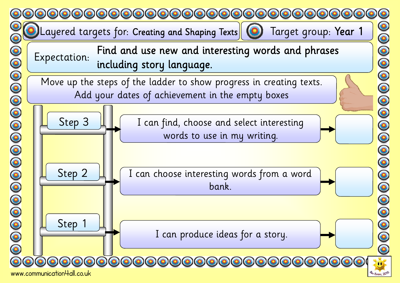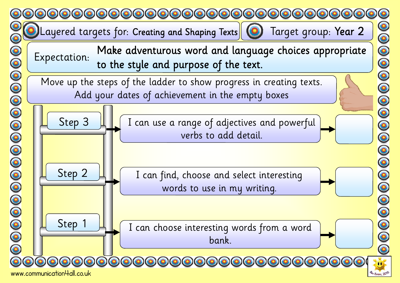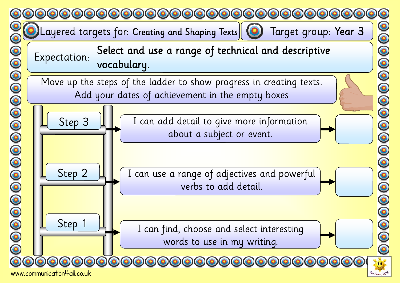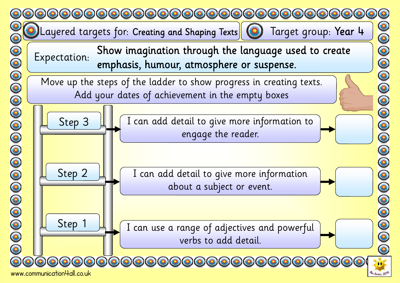

www.communication4all.co.uk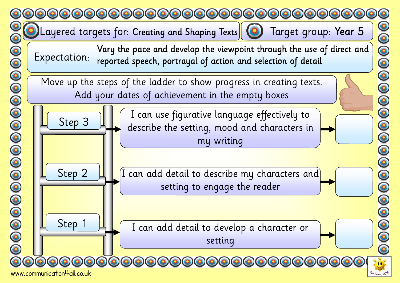